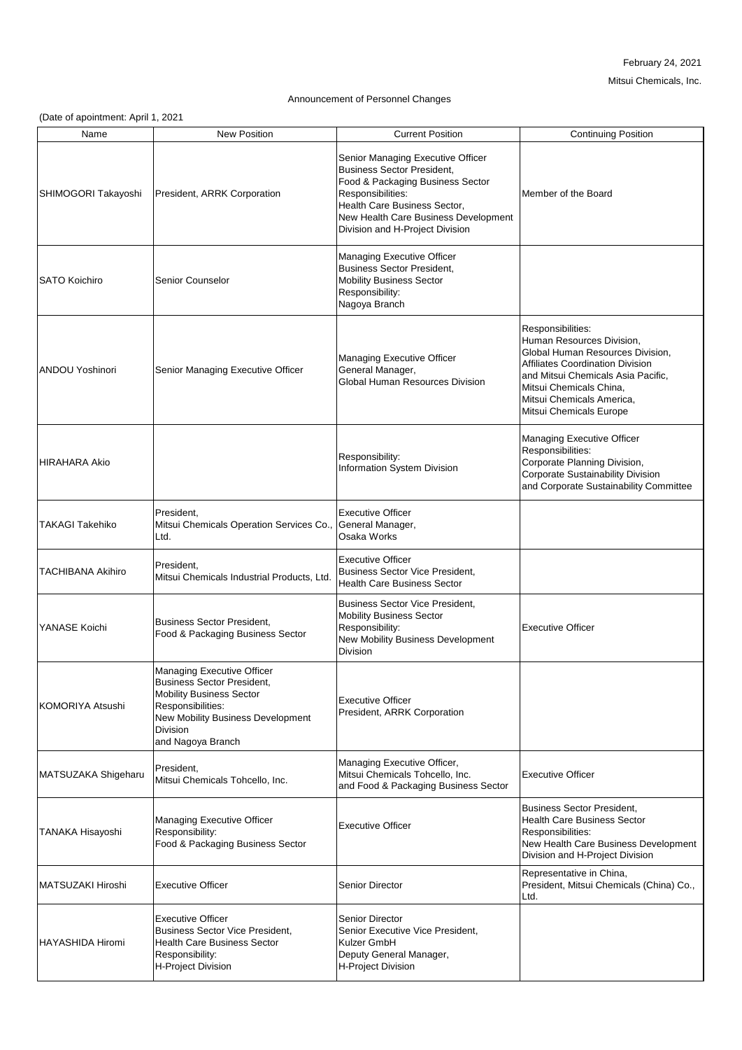## February 24, 2021

Mitsui Chemicals, Inc.

## Announcement of Personnel Changes

(Date of apointment: April 1, 2021

| Name                     | <b>New Position</b>                                                                                                                                                                           | <b>Current Position</b>                                                                                                                                                                                                                    | <b>Continuing Position</b>                                                                                                                                                                                                                                    |
|--------------------------|-----------------------------------------------------------------------------------------------------------------------------------------------------------------------------------------------|--------------------------------------------------------------------------------------------------------------------------------------------------------------------------------------------------------------------------------------------|---------------------------------------------------------------------------------------------------------------------------------------------------------------------------------------------------------------------------------------------------------------|
| SHIMOGORI Takayoshi      | President, ARRK Corporation                                                                                                                                                                   | Senior Managing Executive Officer<br><b>Business Sector President,</b><br>Food & Packaging Business Sector<br>Responsibilities:<br>Health Care Business Sector,<br>New Health Care Business Development<br>Division and H-Project Division | Member of the Board                                                                                                                                                                                                                                           |
| <b>SATO Koichiro</b>     | Senior Counselor                                                                                                                                                                              | <b>Managing Executive Officer</b><br><b>Business Sector President,</b><br><b>Mobility Business Sector</b><br>Responsibility:<br>Nagoya Branch                                                                                              |                                                                                                                                                                                                                                                               |
| <b>ANDOU Yoshinori</b>   | <b>Senior Managing Executive Officer</b>                                                                                                                                                      | <b>Managing Executive Officer</b><br>General Manager,<br><b>Global Human Resources Division</b>                                                                                                                                            | Responsibilities:<br>Human Resources Division,<br>Global Human Resources Division,<br><b>Affiliates Coordination Division</b><br>and Mitsui Chemicals Asia Pacific,<br>Mitsui Chemicals China,<br>Mitsui Chemicals America,<br><b>Mitsui Chemicals Europe</b> |
| HIRAHARA Akio            |                                                                                                                                                                                               | Responsibility:<br>Information System Division                                                                                                                                                                                             | <b>Managing Executive Officer</b><br>Responsibilities:<br>Corporate Planning Division,<br><b>Corporate Sustainability Division</b><br>and Corporate Sustainability Committee                                                                                  |
| <b>TAKAGI Takehiko</b>   | President,<br>Mitsui Chemicals Operation Services Co.,<br>Ltd.                                                                                                                                | <b>Executive Officer</b><br>General Manager,<br>Osaka Works                                                                                                                                                                                |                                                                                                                                                                                                                                                               |
| <b>TACHIBANA Akihiro</b> | President,<br>Mitsui Chemicals Industrial Products, Ltd.                                                                                                                                      | <b>Executive Officer</b><br><b>Business Sector Vice President,</b><br><b>Health Care Business Sector</b>                                                                                                                                   |                                                                                                                                                                                                                                                               |
| YANASE Koichi            | Business Sector President,<br><b>Food &amp; Packaging Business Sector</b>                                                                                                                     | <b>Business Sector Vice President,</b><br><b>Mobility Business Sector</b><br>Responsibility:<br><b>New Mobility Business Development</b><br><b>Division</b>                                                                                | <b>Executive Officer</b>                                                                                                                                                                                                                                      |
| KOMORIYA Atsushi         | Managing Executive Officer<br>Business Sector President,<br><b>Mobility Business Sector</b><br>Responsibilities:<br><b>New Mobility Business Development</b><br>Division<br>and Nagoya Branch | <b>Executive Officer</b><br>President, ARRK Corporation                                                                                                                                                                                    |                                                                                                                                                                                                                                                               |
| MATSUZAKA Shigeharu      | President,<br>Mitsui Chemicals Tohcello, Inc.                                                                                                                                                 | Managing Executive Officer,<br>Mitsui Chemicals Tohcello, Inc.<br>and Food & Packaging Business Sector                                                                                                                                     | <b>Executive Officer</b>                                                                                                                                                                                                                                      |
| <b>TANAKA Hisayoshi</b>  | Managing Executive Officer<br>Responsibility:<br><b>Food &amp; Packaging Business Sector</b>                                                                                                  | <b>Executive Officer</b>                                                                                                                                                                                                                   | <b>Business Sector President,</b><br><b>Health Care Business Sector</b><br>Responsibilities:<br>New Health Care Business Development<br>Division and H-Project Division                                                                                       |
| MATSUZAKI Hiroshi        | <b>Executive Officer</b>                                                                                                                                                                      | <b>Senior Director</b>                                                                                                                                                                                                                     | Representative in China,<br>President, Mitsui Chemicals (China) Co.,<br>Ltd.                                                                                                                                                                                  |
| <b>HAYASHIDA Hiromi</b>  | <b>Executive Officer</b><br>Business Sector Vice President,<br><b>Health Care Business Sector</b><br>Responsibility:<br>H-Project Division                                                    | <b>Senior Director</b><br>Senior Executive Vice President,<br><b>Kulzer GmbH</b><br>Deputy General Manager,<br><b>H-Project Division</b>                                                                                                   |                                                                                                                                                                                                                                                               |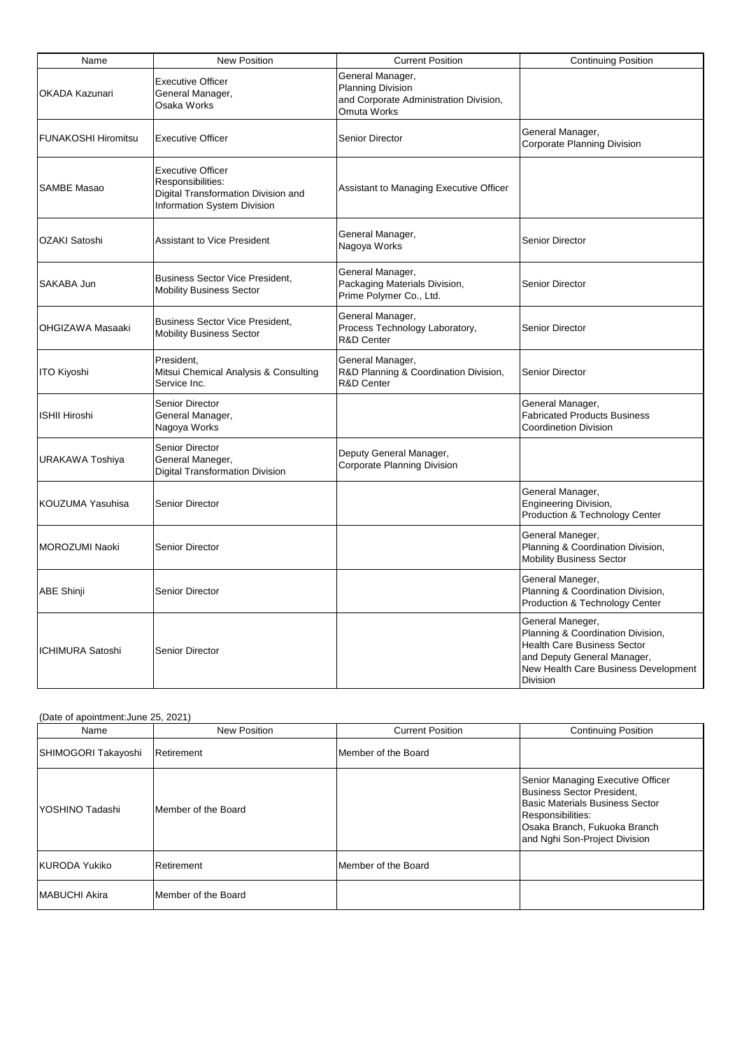| Name                       | <b>New Position</b>                                                                                                        | <b>Current Position</b>                                                                                      | <b>Continuing Position</b>                                                                                                                                                            |
|----------------------------|----------------------------------------------------------------------------------------------------------------------------|--------------------------------------------------------------------------------------------------------------|---------------------------------------------------------------------------------------------------------------------------------------------------------------------------------------|
| <b>OKADA Kazunari</b>      | <b>Executive Officer</b><br>General Manager,<br><b>Osaka Works</b>                                                         | General Manager,<br><b>Planning Division</b><br>and Corporate Administration Division,<br><b>Omuta Works</b> |                                                                                                                                                                                       |
| <b>FUNAKOSHI Hiromitsu</b> | <b>Executive Officer</b>                                                                                                   | <b>Senior Director</b>                                                                                       | General Manager,<br><b>Corporate Planning Division</b>                                                                                                                                |
| <b>SAMBE Masao</b>         | <b>Executive Officer</b><br>Responsibilities:<br>Digital Transformation Division and<br><b>Information System Division</b> | Assistant to Managing Executive Officer                                                                      |                                                                                                                                                                                       |
| <b>OZAKI Satoshi</b>       | <b>Assistant to Vice President</b>                                                                                         | General Manager,<br>Nagoya Works                                                                             | <b>Senior Director</b>                                                                                                                                                                |
| <b>SAKABA Jun</b>          | <b>Business Sector Vice President,</b><br><b>Mobility Business Sector</b>                                                  | General Manager,<br>Packaging Materials Division,<br>Prime Polymer Co., Ltd.                                 | <b>Senior Director</b>                                                                                                                                                                |
| OHGIZAWA Masaaki           | <b>Business Sector Vice President,</b><br><b>Mobility Business Sector</b>                                                  | General Manager,<br>Process Technology Laboratory,<br><b>R&amp;D Center</b>                                  | <b>Senior Director</b>                                                                                                                                                                |
| <b>ITO Kiyoshi</b>         | President,<br>Mitsui Chemical Analysis & Consulting<br>Service Inc.                                                        | General Manager,<br>R&D Planning & Coordination Division,<br><b>R&amp;D Center</b>                           | <b>Senior Director</b>                                                                                                                                                                |
| <b>ISHII Hiroshi</b>       | <b>Senior Director</b><br>General Manager,<br>Nagoya Works                                                                 |                                                                                                              | General Manager,<br><b>Fabricated Products Business</b><br><b>Coordinetion Division</b>                                                                                               |
| URAKAWA Toshiya            | <b>Senior Director</b><br>General Maneger,<br><b>Digital Transformation Division</b>                                       | Deputy General Manager,<br><b>Corporate Planning Division</b>                                                |                                                                                                                                                                                       |
| KOUZUMA Yasuhisa           | <b>Senior Director</b>                                                                                                     |                                                                                                              | General Manager,<br><b>Engineering Division,</b><br>Production & Technology Center                                                                                                    |
| MOROZUMI Naoki             | <b>Senior Director</b>                                                                                                     |                                                                                                              | General Maneger,<br>Planning & Coordination Division,<br><b>Mobility Business Sector</b>                                                                                              |
| <b>ABE Shinji</b>          | <b>Senior Director</b>                                                                                                     |                                                                                                              | General Maneger,<br>Planning & Coordination Division,<br>Production & Technology Center                                                                                               |
| <b>ICHIMURA Satoshi</b>    | <b>Senior Director</b>                                                                                                     |                                                                                                              | General Maneger,<br>Planning & Coordination Division,<br><b>Health Care Business Sector</b><br>and Deputy General Manager,<br>New Health Care Business Development<br><b>Division</b> |

| Name                 | <b>New Position</b>         | <b>Current Position</b> | <b>Continuing Position</b>                                                                                                                                                                                    |
|----------------------|-----------------------------|-------------------------|---------------------------------------------------------------------------------------------------------------------------------------------------------------------------------------------------------------|
| SHIMOGORI Takayoshi  | Retirement                  | Member of the Board     |                                                                                                                                                                                                               |
| IYOSHINO Tadashi     | <b>IMember of the Board</b> |                         | <b>Senior Managing Executive Officer</b><br><b>Business Sector President,</b><br><b>Basic Materials Business Sector</b><br>Responsibilities:<br>Osaka Branch, Fukuoka Branch<br>and Nghi Son-Project Division |
| KURODA Yukiko        | Retirement                  | Member of the Board     |                                                                                                                                                                                                               |
| <b>MABUCHI Akira</b> | <b>IMember of the Board</b> |                         |                                                                                                                                                                                                               |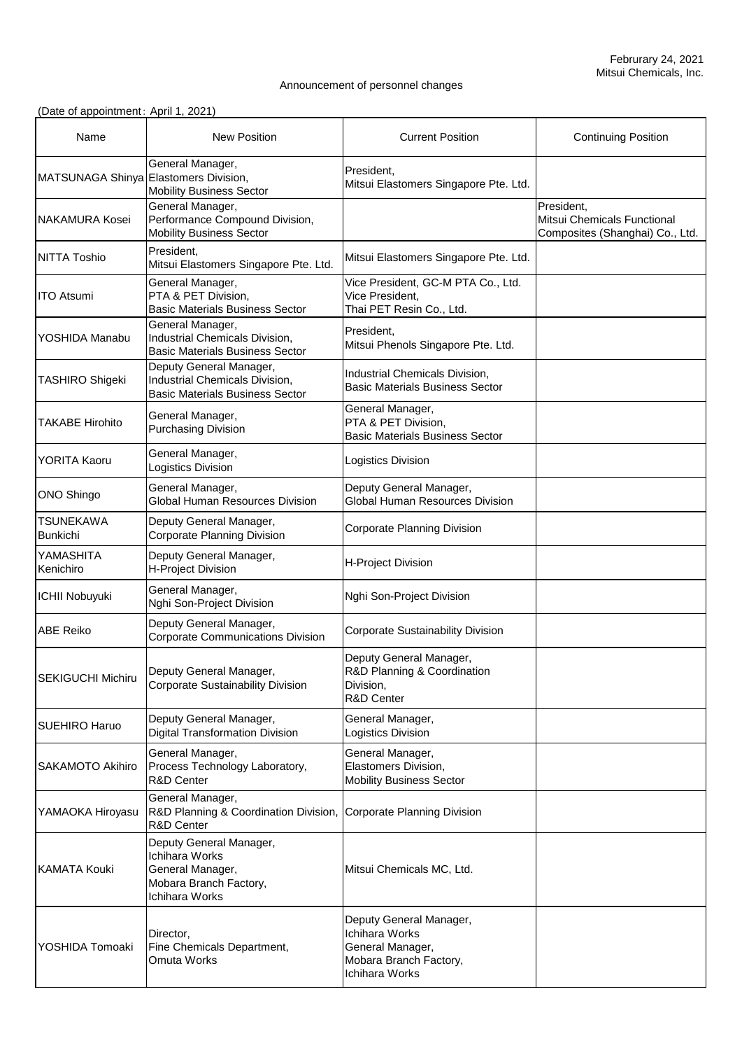## Announcement of personnel changes

| Name                                  | <b>New Position</b>                                                                                            | <b>Current Position</b>                                                                                     | <b>Continuing Position</b>                                                   |
|---------------------------------------|----------------------------------------------------------------------------------------------------------------|-------------------------------------------------------------------------------------------------------------|------------------------------------------------------------------------------|
| MATSUNAGA Shinya Elastomers Division, | General Manager,<br><b>Mobility Business Sector</b>                                                            | President,<br>Mitsui Elastomers Singapore Pte. Ltd.                                                         |                                                                              |
| <b>NAKAMURA Kosei</b>                 | General Manager,<br>Performance Compound Division,<br><b>Mobility Business Sector</b>                          |                                                                                                             | President,<br>Mitsui Chemicals Functional<br>Composites (Shanghai) Co., Ltd. |
| <b>NITTA Toshio</b>                   | President.<br>Mitsui Elastomers Singapore Pte. Ltd.                                                            | Mitsui Elastomers Singapore Pte. Ltd.                                                                       |                                                                              |
| <b>ITO Atsumi</b>                     | General Manager,<br>PTA & PET Division,<br><b>Basic Materials Business Sector</b>                              | Vice President, GC-M PTA Co., Ltd.<br>Vice President,<br>Thai PET Resin Co., Ltd.                           |                                                                              |
| YOSHIDA Manabu                        | General Manager,<br>Industrial Chemicals Division,<br><b>Basic Materials Business Sector</b>                   | President,<br>Mitsui Phenols Singapore Pte. Ltd.                                                            |                                                                              |
| <b>TASHIRO Shigeki</b>                | Deputy General Manager,<br>Industrial Chemicals Division,<br><b>Basic Materials Business Sector</b>            | Industrial Chemicals Division,<br><b>Basic Materials Business Sector</b>                                    |                                                                              |
| <b>TAKABE Hirohito</b>                | General Manager,<br><b>Purchasing Division</b>                                                                 | General Manager,<br>PTA & PET Division,<br><b>Basic Materials Business Sector</b>                           |                                                                              |
| <b>YORITA Kaoru</b>                   | General Manager,<br>Logistics Division                                                                         | <b>Logistics Division</b>                                                                                   |                                                                              |
| <b>ONO Shingo</b>                     | General Manager,<br><b>Global Human Resources Division</b>                                                     | Deputy General Manager,<br><b>Global Human Resources Division</b>                                           |                                                                              |
| <b>TSUNEKAWA</b><br><b>Bunkichi</b>   | Deputy General Manager,<br><b>Corporate Planning Division</b>                                                  | <b>Corporate Planning Division</b>                                                                          |                                                                              |
| YAMASHITA<br>Kenichiro                | Deputy General Manager,<br><b>H-Project Division</b>                                                           | <b>H-Project Division</b>                                                                                   |                                                                              |
| <b>ICHII Nobuyuki</b>                 | General Manager,<br>Nghi Son-Project Division                                                                  | Nghi Son-Project Division                                                                                   |                                                                              |
| <b>ABE Reiko</b>                      | Deputy General Manager,<br><b>Corporate Communications Division</b>                                            | <b>Corporate Sustainability Division</b>                                                                    |                                                                              |
| <b>SEKIGUCHI Michiru</b>              | Deputy General Manager,<br><b>Corporate Sustainability Division</b>                                            | Deputy General Manager,<br><b>R&amp;D Planning &amp; Coordination</b><br>Division,<br><b>R&amp;D Center</b> |                                                                              |
| <b>SUEHIRO Haruo</b>                  | Deputy General Manager,<br><b>Digital Transformation Division</b>                                              | General Manager,<br>Logistics Division                                                                      |                                                                              |
| <b>SAKAMOTO Akihiro</b>               | General Manager,<br>Process Technology Laboratory,<br><b>R&amp;D Center</b>                                    | General Manager,<br>Elastomers Division,<br><b>Mobility Business Sector</b>                                 |                                                                              |
| YAMAOKA Hiroyasu                      | General Manager,<br>R&D Planning & Coordination Division, Corporate Planning Division<br><b>R&amp;D Center</b> |                                                                                                             |                                                                              |
| <b>KAMATA Kouki</b>                   | Deputy General Manager,<br>Ichihara Works<br>General Manager,<br>Mobara Branch Factory,<br>Ichihara Works      | Mitsui Chemicals MC, Ltd.                                                                                   |                                                                              |
| YOSHIDA Tomoaki                       | Director,<br>Fine Chemicals Department,<br>Omuta Works                                                         | Deputy General Manager,<br>Ichihara Works<br>General Manager,<br>Mobara Branch Factory,<br>Ichihara Works   |                                                                              |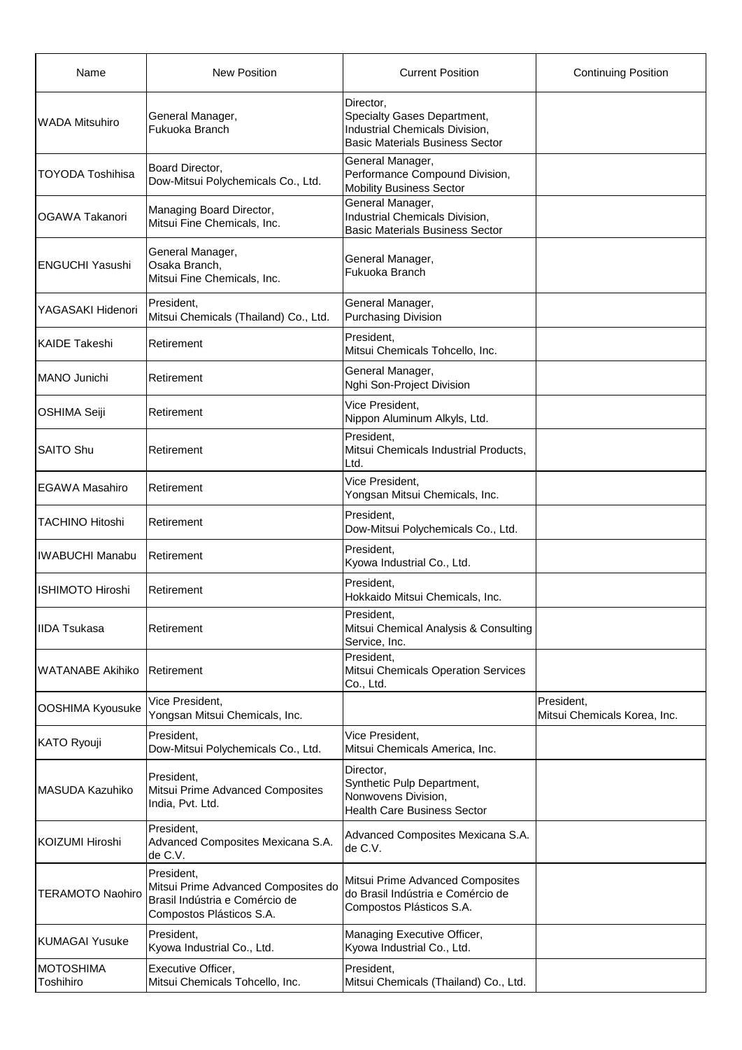| Name                    | <b>New Position</b>                                                                                             | <b>Current Position</b>                                                                                                            | <b>Continuing Position</b>                 |
|-------------------------|-----------------------------------------------------------------------------------------------------------------|------------------------------------------------------------------------------------------------------------------------------------|--------------------------------------------|
| <b>WADA Mitsuhiro</b>   | General Manager,<br>Fukuoka Branch                                                                              | Director,<br><b>Specialty Gases Department,</b><br><b>Industrial Chemicals Division,</b><br><b>Basic Materials Business Sector</b> |                                            |
| <b>TOYODA Toshihisa</b> | Board Director,<br>Dow-Mitsui Polychemicals Co., Ltd.                                                           | General Manager,<br>Performance Compound Division,<br><b>Mobility Business Sector</b>                                              |                                            |
| <b>OGAWA Takanori</b>   | Managing Board Director,<br>Mitsui Fine Chemicals, Inc.                                                         | General Manager,<br><b>Industrial Chemicals Division,</b><br><b>Basic Materials Business Sector</b>                                |                                            |
| <b>ENGUCHI Yasushi</b>  | General Manager,<br>Osaka Branch,<br>Mitsui Fine Chemicals, Inc.                                                | General Manager,<br>Fukuoka Branch                                                                                                 |                                            |
| YAGASAKI Hidenori       | President,<br>Mitsui Chemicals (Thailand) Co., Ltd.                                                             | General Manager,<br><b>Purchasing Division</b>                                                                                     |                                            |
| <b>KAIDE Takeshi</b>    | Retirement                                                                                                      | President,<br>Mitsui Chemicals Tohcello, Inc.                                                                                      |                                            |
| <b>MANO Junichi</b>     | Retirement                                                                                                      | General Manager,<br>Nghi Son-Project Division                                                                                      |                                            |
| <b>OSHIMA Seiji</b>     | Retirement                                                                                                      | Vice President,<br>Nippon Aluminum Alkyls, Ltd.                                                                                    |                                            |
| <b>SAITO Shu</b>        | Retirement                                                                                                      | President,<br>Mitsui Chemicals Industrial Products,<br>Ltd.                                                                        |                                            |
| <b>EGAWA Masahiro</b>   | Retirement                                                                                                      | Vice President,<br>Yongsan Mitsui Chemicals, Inc.                                                                                  |                                            |
| <b>TACHINO Hitoshi</b>  | Retirement                                                                                                      | President,<br>Dow-Mitsui Polychemicals Co., Ltd.                                                                                   |                                            |
| <b>IWABUCHI Manabu</b>  | Retirement                                                                                                      | President,<br>Kyowa Industrial Co., Ltd.                                                                                           |                                            |
| <b>ISHIMOTO Hiroshi</b> | Retirement                                                                                                      | President,<br>Hokkaido Mitsui Chemicals, Inc.                                                                                      |                                            |
| <b>IIDA Tsukasa</b>     | Retirement                                                                                                      | President,<br>Mitsui Chemical Analysis & Consulting<br>Service, Inc.                                                               |                                            |
| <b>WATANABE Akihiko</b> | Retirement                                                                                                      | President,<br><b>Mitsui Chemicals Operation Services</b><br>Co., Ltd.                                                              |                                            |
| <b>OOSHIMA Kyousuke</b> | Vice President,<br>Yongsan Mitsui Chemicals, Inc.                                                               |                                                                                                                                    | President,<br>Mitsui Chemicals Korea, Inc. |
| KATO Ryouji             | President,<br>Dow-Mitsui Polychemicals Co., Ltd.                                                                | Vice President,<br>Mitsui Chemicals America, Inc.                                                                                  |                                            |
| <b>MASUDA Kazuhiko</b>  | President,<br>Mitsui Prime Advanced Composites<br>India, Pvt. Ltd.                                              | Director,<br>Synthetic Pulp Department,<br>Nonwovens Division,<br><b>Health Care Business Sector</b>                               |                                            |
| KOIZUMI Hiroshi         | President,<br>Advanced Composites Mexicana S.A.<br>de C.V.                                                      | Advanced Composites Mexicana S.A.<br>de C.V.                                                                                       |                                            |
| <b>TERAMOTO Naohiro</b> | President.<br>Mitsui Prime Advanced Composites do<br>Brasil Indústria e Comércio de<br>Compostos Plásticos S.A. | Mitsui Prime Advanced Composites<br>do Brasil Indústria e Comércio de<br>Compostos Plásticos S.A.                                  |                                            |
| KUMAGAI Yusuke          | President.<br>Kyowa Industrial Co., Ltd.                                                                        | Managing Executive Officer,<br>Kyowa Industrial Co., Ltd.                                                                          |                                            |
| MOTOSHIMA<br>Toshihiro  | Executive Officer,<br>Mitsui Chemicals Tohcello, Inc.                                                           | President,<br>Mitsui Chemicals (Thailand) Co., Ltd.                                                                                |                                            |